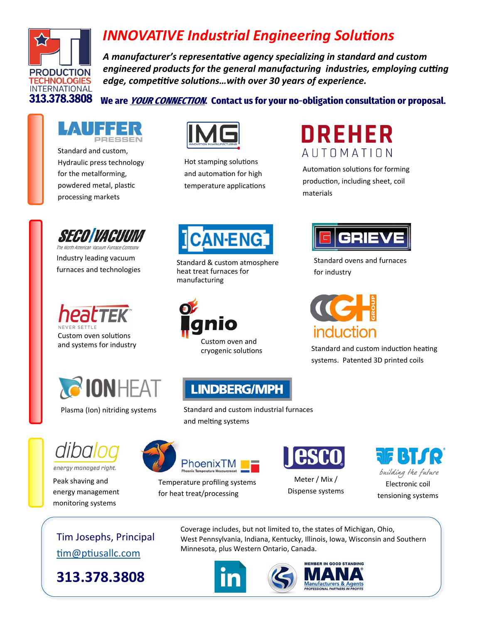

## *INNOVATIVE Industrial Engineering Solutions*

*A manufacturer's representative agency specializing in standard and custom engineered products for the general manufacturing industries, employing cutting edge, competitive solutions…with over 30 years of experience.* 

## We are *YOUR CONNECTION*. Contact us for your no-obligation consultation or proposal.



[Standard and custom,](https://lauffer.de/en/)  Hydraulic press technology for the metalforming, powdered metal, plastic processing markets



Hot stamping solutions and automation for high temperature applications



Automation solutions for forming production, including sheet, coil materials



The North American Vacuum Furnace Company Industry leading vacuum furnaces and technologies





Plasma (Ion) nitriding systems



energy managed right.

[Peak shaving and](https://www.dibalog.com/home)  energy management monitoring systems



Standard & custom atmosphere heat treat furnaces for manufacturing





Standard ovens and furnaces for industry

induction

Standard and custom induction heating systems. Patented 3D printed coils



Standard and custom industrial furnaces and melting systems



Temperature profiling systems for heat treat/processing



Meter / Mix / Dispense systems



Tim Josephs, Principal [tim@ptiusallc.com](mailto:tim@ptiusallc.com)

**313.378.3808** 

Coverage includes, but not limited to, the states of Michigan, Ohio, West Pennsylvania, Indiana, Kentucky, Illinois, Iowa, Wisconsin and Southern Minnesota, plus Western Ontario, Canada.